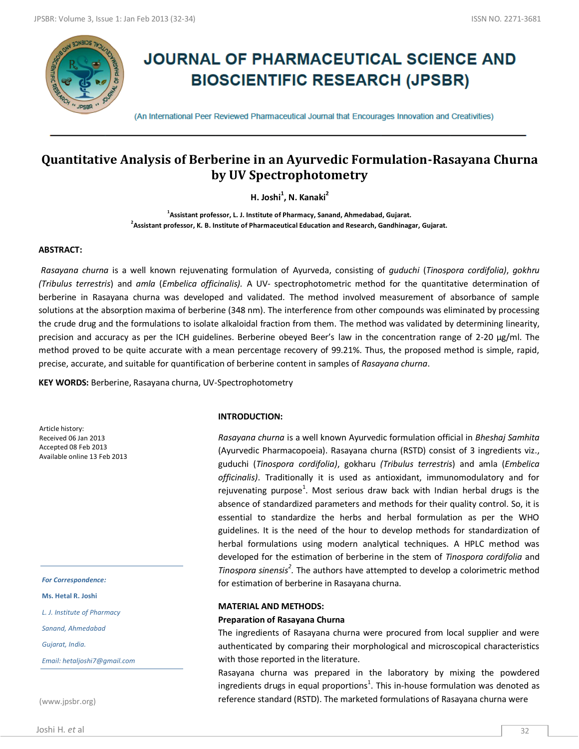

# **JOURNAL OF PHARMACEUTICAL SCIENCE AND BIOSCIENTIFIC RESEARCH (JPSBR)**

(An International Peer Reviewed Pharmaceutical Journal that Encourages Innovation and Creativities)

# **Quantitative Analysis of Berberine in an Ayurvedic Formulation-Rasayana Churna by UV Spectrophotometry**

**H. Joshi<sup>1</sup> , N. Kanaki<sup>2</sup>**

**1 Assistant professor, L. J. Institute of Pharmacy, Sanand, Ahmedabad, Gujarat. 2 Assistant professor, K. B. Institute of Pharmaceutical Education and Research, Gandhinagar, Gujarat.**

## **ABSTRACT:**

*Rasayana churna* is a well known rejuvenating formulation of Ayurveda, consisting of *guduchi* (*Tinospora cordifolia)*, *gokhru (Tribulus terrestris*) and *amla* (*Embelica officinalis).* A UV- spectrophotometric method for the quantitative determination of berberine in Rasayana churna was developed and validated. The method involved measurement of absorbance of sample solutions at the absorption maxima of berberine (348 nm). The interference from other compounds was eliminated by processing the crude drug and the formulations to isolate alkaloidal fraction from them. The method was validated by determining linearity, precision and accuracy as per the ICH guidelines. Berberine obeyed Beer's law in the concentration range of 2-20 µg/ml. The method proved to be quite accurate with a mean percentage recovery of 99.21%. Thus, the proposed method is simple, rapid, precise, accurate, and suitable for quantification of berberine content in samples of *Rasayana churna*.

**KEY WORDS:** Berberine, Rasayana churna, UV-Spectrophotometry

Article history: Received 06 Jan 2013 Accepted 08 Feb 2013 Available online 13 Feb 2013

*For Correspondence:*

**Ms. Hetal R. Joshi** 

*L. J. Institute of Pharmacy*

*Sanand, Ahmedabad*

*Gujarat, India.* 

*Email: hetaljoshi7@gmail.com*

(www.jpsbr.org)

**INTRODUCTION:**

*Rasayana churna* is a well known Ayurvedic formulation official in *Bheshaj Samhita* (Ayurvedic Pharmacopoeia). Rasayana churna (RSTD) consist of 3 ingredients viz., guduchi (*Tinospora cordifolia)*, gokharu *(Tribulus terrestris*) and amla (*Embelica officinalis)*. Traditionally it is used as antioxidant, immunomodulatory and for rejuvenating purpose<sup>1</sup>. Most serious draw back with Indian herbal drugs is the absence of standardized parameters and methods for their quality control. So, it is essential to standardize the herbs and herbal formulation as per the WHO guidelines. It is the need of the hour to develop methods for standardization of herbal formulations using modern analytical techniques. A HPLC method was developed for the estimation of berberine in the stem of *Tinospora cordifolia* and *Tinospora sinensis<sup>2</sup> .* The authors have attempted to develop a colorimetric method for estimation of berberine in Rasayana churna.

#### **MATERIAL AND METHODS:**

#### **Preparation of Rasayana Churna**

The ingredients of Rasayana churna were procured from local supplier and were authenticated by comparing their morphological and microscopical characteristics with those reported in the literature.

Rasayana churna was prepared in the laboratory by mixing the powdered ingredients drugs in equal proportions<sup>1</sup>. This in-house formulation was denoted as reference standard (RSTD). The marketed formulations of Rasayana churna were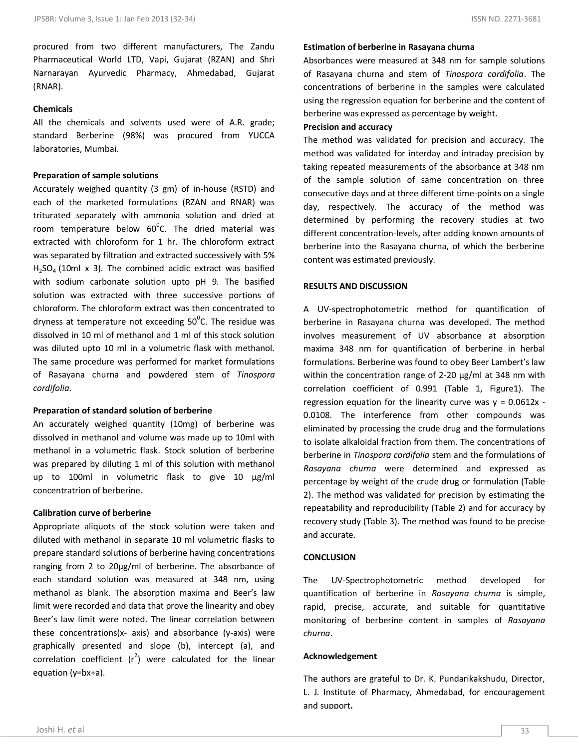procured from two different manufacturers, The Zandu Pharmaceutical World LTD, Vapi, Gujarat (RZAN) and Shri Narnarayan Ayurvedic Pharmacy, Ahmedabad, Gujarat (RNAR).

# **Chemicals**

All the chemicals and solvents used were of A.R. grade; standard Berberine (98%) was procured from YUCCA laboratories, Mumbai.

#### **Preparation of sample solutions**

Accurately weighed quantity (3 gm) of in-house (RSTD) and each of the marketed formulations (RZAN and RNAR) was triturated separately with ammonia solution and dried at room temperature below  $60^{\circ}$ C. The dried material was extracted with chloroform for 1 hr. The chloroform extract was separated by filtration and extracted successively with 5%  $H<sub>2</sub>SO<sub>4</sub>$  (10ml x 3). The combined acidic extract was basified with sodium carbonate solution upto pH 9. The basified solution was extracted with three successive portions of chloroform. The chloroform extract was then concentrated to dryness at temperature not exceeding  $50^{\circ}$ C. The residue was dissolved in 10 ml of methanol and 1 ml of this stock solution was diluted upto 10 ml in a volumetric flask with methanol. The same procedure was performed for market formulations of Rasayana churna and powdered stem of *Tinospora cordifolia*.

#### **Preparation of standard solution of berberine**

An accurately weighed quantity (10mg) of berberine was dissolved in methanol and volume was made up to 10ml with methanol in a volumetric flask. Stock solution of berberine was prepared by diluting 1 ml of this solution with methanol up to 100ml in volumetric flask to give 10 µg/ml concentratrion of berberine.

#### **Calibration curve of berberine**

Appropriate aliquots of the stock solution were taken and diluted with methanol in separate 10 ml volumetric flasks to prepare standard solutions of berberine having concentrations ranging from 2 to 20µg/ml of berberine. The absorbance of each standard solution was measured at 348 nm, using methanol as blank. The absorption maxima and Beer's law limit were recorded and data that prove the linearity and obey Beer's law limit were noted. The linear correlation between these concentrations(x- axis) and absorbance (y-axis) were graphically presented and slope (b), intercept (a), and correlation coefficient  $(r^2)$  were calculated for the linear equation (y=bx+a).

#### **Estimation of berberine in Rasayana churna**

Absorbances were measured at 348 nm for sample solutions of Rasayana churna and stem of *Tinospora cordifolia*. The concentrations of berberine in the samples were calculated using the regression equation for berberine and the content of berberine was expressed as percentage by weight.

#### **Precision and accuracy**

The method was validated for precision and accuracy. The method was validated for interday and intraday precision by taking repeated measurements of the absorbance at 348 nm of the sample solution of same concentration on three consecutive days and at three different time-points on a single day, respectively. The accuracy of the method was determined by performing the recovery studies at two different concentration-levels, after adding known amounts of berberine into the Rasayana churna, of which the berberine content was estimated previously.

## **RESULTS AND DISCUSSION**

A UV-spectrophotometric method for quantification of berberine in Rasayana churna was developed. The method involves measurement of UV absorbance at absorption maxima 348 nm for quantification of berberine in herbal formulations. Berberine was found to obey Beer Lambert's law within the concentration range of 2-20 μg/ml at 348 nm with correlation coefficient of 0.991 (Table 1, Figure1). The regression equation for the linearity curve was  $y = 0.0612x -$ 0.0108. The interference from other compounds was eliminated by processing the crude drug and the formulations to isolate alkaloidal fraction from them. The concentrations of berberine in *Tinospora cordifolia* stem and the formulations of *Rasayana churna* were determined and expressed as percentage by weight of the crude drug or formulation (Table 2). The method was validated for precision by estimating the repeatability and reproducibility (Table 2) and for accuracy by recovery study (Table 3). The method was found to be precise and accurate.

# **CONCLUSION**

The UV-Spectrophotometric method developed for quantification of berberine in *Rasayana churna* is simple, rapid, precise, accurate, and suitable for quantitative monitoring of berberine content in samples of *Rasayana churna*.

#### **Acknowledgement**

The authors are grateful to Dr. K. Pundarikakshudu, Director, L. J. Institute of Pharmacy, Ahmedabad, for encouragement and support**.**